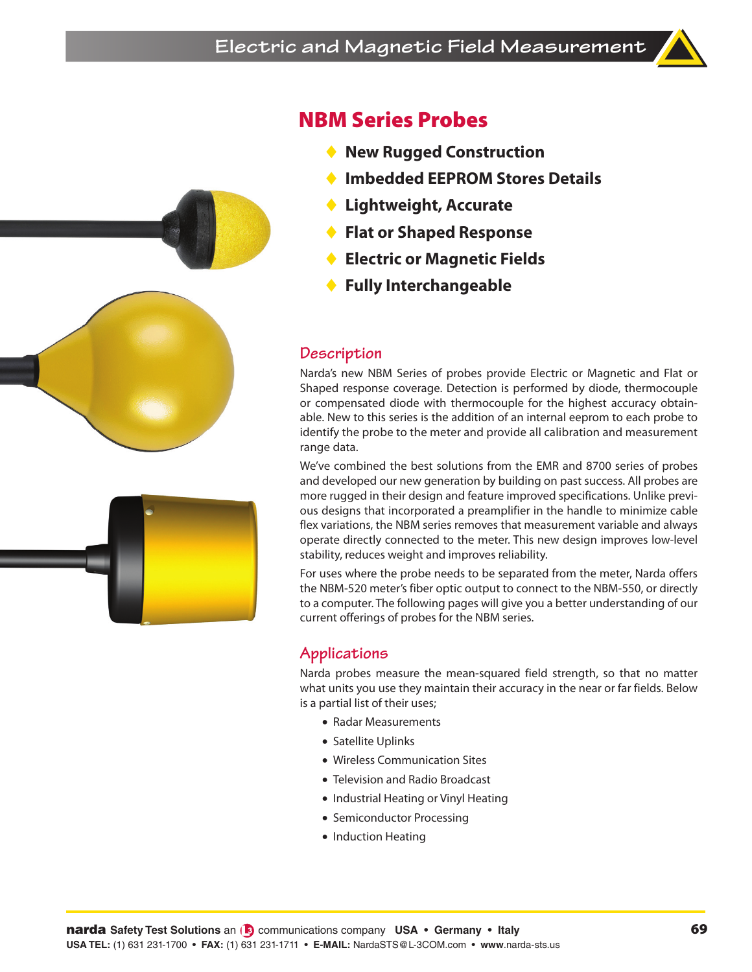



- ♦ **New Rugged Construction**
- ♦ **Imbedded EEPROM Stores Details**
- ♦ **Lightweight, Accurate**
- ♦ **Flat or Shaped Response**
- ♦ **Electric or Magnetic Fields**
- ♦ **Fully Interchangeable**

### **Description**

Narda's new NBM Series of probes provide Electric or Magnetic and Flat or Shaped response coverage. Detection is performed by diode, thermocouple or compensated diode with thermocouple for the highest accuracy obtainable. New to this series is the addition of an internal eeprom to each probe to identify the probe to the meter and provide all calibration and measurement range data.

We've combined the best solutions from the EMR and 8700 series of probes and developed our new generation by building on past success. All probes are more rugged in their design and feature improved specifications. Unlike previous designs that incorporated a preamplifier in the handle to minimize cable flex variations, the NBM series removes that measurement variable and always operate directly connected to the meter. This new design improves low-level stability, reduces weight and improves reliability.

For uses where the probe needs to be separated from the meter, Narda offers the NBM-520 meter's fiber optic output to connect to the NBM-550, or directly to a computer. The following pages will give you a better understanding of our current offerings of probes for the NBM series.

## **Applications**

Narda probes measure the mean-squared field strength, so that no matter what units you use they maintain their accuracy in the near or far fields. Below is a partial list of their uses;

- Radar Measurements
- Satellite Uplinks
- Wireless Communication Sites
- Television and Radio Broadcast
- Industrial Heating or Vinyl Heating
- Semiconductor Processing
- Induction Heating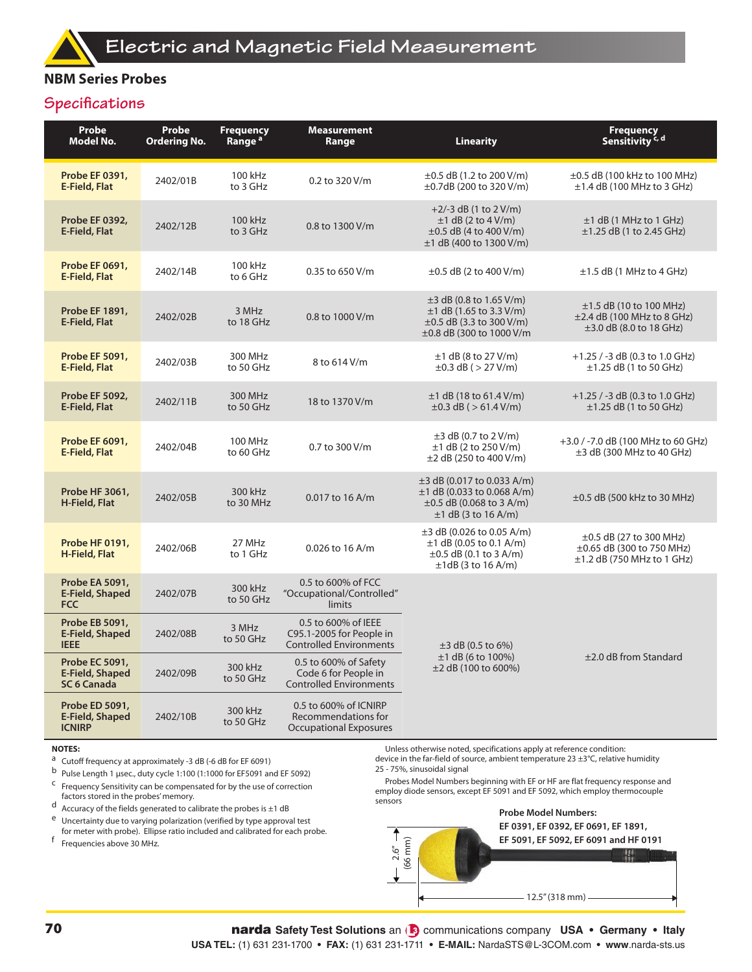

## **Specifications**

| Probe<br>Model No.                                          | <b>Probe</b><br><b>Ordering No.</b> | <b>Frequency</b><br>Range <sup>a</sup> | <b>Measurement</b><br>Range                                                       | <b>Linearity</b>                                                                                                                | <b>Frequency</b><br>Sensitivity <sup>c, d</sup>                                                   |  |
|-------------------------------------------------------------|-------------------------------------|----------------------------------------|-----------------------------------------------------------------------------------|---------------------------------------------------------------------------------------------------------------------------------|---------------------------------------------------------------------------------------------------|--|
| <b>Probe EF 0391,</b><br>E-Field, Flat                      | 2402/01B                            | 100 kHz<br>to 3 GHz                    | 0.2 to 320 V/m                                                                    | $\pm 0.5$ dB (1.2 to 200 V/m)<br>±0.7dB (200 to 320 V/m)                                                                        | $\pm 0.5$ dB (100 kHz to 100 MHz)<br>$\pm$ 1.4 dB (100 MHz to 3 GHz)                              |  |
| Probe EF 0392,<br>E-Field, Flat                             | 2402/12B                            | 100 kHz<br>to 3 GHz                    | 0.8 to 1300 V/m                                                                   | $+2/-3$ dB (1 to 2 V/m)<br>$\pm 1$ dB (2 to 4 V/m)<br>$\pm 0.5$ dB (4 to 400 V/m)<br>$\pm$ 1 dB (400 to 1300 V/m)               | $\pm$ 1 dB (1 MHz to 1 GHz)<br>$\pm$ 1.25 dB (1 to 2.45 GHz)                                      |  |
| Probe EF 0691,<br><b>E-Field, Flat</b>                      | 2402/14B                            | 100 kHz<br>to 6 GHz                    | 0.35 to 650 V/m                                                                   | $\pm 0.5$ dB (2 to 400 V/m)                                                                                                     | $\pm 1.5$ dB (1 MHz to 4 GHz)                                                                     |  |
| Probe EF 1891,<br>E-Field, Flat                             | 2402/02B                            | 3 MHz<br>to 18 GHz                     | 0.8 to 1000 V/m                                                                   | $\pm$ 3 dB (0.8 to 1.65 V/m)<br>$\pm$ 1 dB (1.65 to 3.3 V/m)<br>$\pm 0.5$ dB (3.3 to 300 V/m)<br>±0.8 dB (300 to 1000 V/m       | $\pm 1.5$ dB (10 to 100 MHz)<br>$\pm$ 2.4 dB (100 MHz to 8 GHz)<br>±3.0 dB (8.0 to 18 GHz)        |  |
| Probe EF 5091,<br>E-Field, Flat                             | 2402/03B                            | 300 MHz<br>to 50 GHz                   | 8 to 614 V/m                                                                      | $\pm$ 1 dB (8 to 27 V/m)<br>$\pm 0.3$ dB ( $> 27$ V/m)                                                                          | +1.25 / -3 dB (0.3 to 1.0 GHz)<br>$\pm$ 1.25 dB (1 to 50 GHz)                                     |  |
| Probe EF 5092,<br>E-Field, Flat                             | 2402/11B                            | 300 MHz<br>to 50 GHz                   | 18 to 1370 V/m                                                                    | $\pm$ 1 dB (18 to 61.4 V/m)<br>$\pm 0.3$ dB ( $> 61.4$ V/m)                                                                     | $+1.25$ / -3 dB (0.3 to 1.0 GHz)<br>$\pm$ 1.25 dB (1 to 50 GHz)                                   |  |
| Probe EF 6091,<br><b>E-Field, Flat</b>                      | 2402/04B                            | 100 MHz<br>to 60 GHz                   | 0.7 to 300 V/m                                                                    | $\pm 3$ dB (0.7 to 2 V/m)<br>$\pm$ 1 dB (2 to 250 V/m)<br>±2 dB (250 to 400 V/m)                                                | +3.0 / -7.0 dB (100 MHz to 60 GHz)<br>±3 dB (300 MHz to 40 GHz)                                   |  |
| Probe HF 3061,<br>H-Field, Flat                             | 2402/05B                            | 300 kHz<br>to 30 MHz                   | $0.017$ to 16 A/m                                                                 | $\pm$ 3 dB (0.017 to 0.033 A/m)<br>$\pm$ 1 dB (0.033 to 0.068 A/m)<br>$\pm 0.5$ dB (0.068 to 3 A/m)<br>$\pm$ 1 dB (3 to 16 A/m) | $\pm 0.5$ dB (500 kHz to 30 MHz)                                                                  |  |
| Probe HF 0191,<br>H-Field, Flat                             | 2402/06B                            | 27 MHz<br>to 1 GHz                     | 0.026 to 16 A/m                                                                   | $\pm$ 3 dB (0.026 to 0.05 A/m)<br>$\pm$ 1 dB (0.05 to 0.1 A/m)<br>$\pm 0.5$ dB (0.1 to 3 A/m)<br>$\pm 1$ dB (3 to 16 A/m)       | $\pm 0.5$ dB (27 to 300 MHz)<br>$\pm 0.65$ dB (300 to 750 MHz)<br>$\pm$ 1.2 dB (750 MHz to 1 GHz) |  |
| <b>Probe EA 5091.</b><br>E-Field, Shaped<br><b>FCC</b>      | 2402/07B                            | 300 kHz<br>to 50 GHz                   | 0.5 to 600% of FCC<br>"Occupational/Controlled"<br>limits                         |                                                                                                                                 |                                                                                                   |  |
| Probe EB 5091,<br>E-Field, Shaped<br><b>IEEE</b>            | 2402/08B                            | 3 MHz<br>to 50 GHz                     | 0.5 to 600% of IEEE<br>C95.1-2005 for People in<br><b>Controlled Environments</b> | $\pm$ 3 dB (0.5 to 6%)                                                                                                          |                                                                                                   |  |
| Probe EC 5091,<br>E-Field, Shaped<br>SC <sub>6</sub> Canada | 2402/09B                            | 300 kHz<br>to 50 GHz                   | 0.5 to 600% of Safety<br>Code 6 for People in<br><b>Controlled Environments</b>   | $±1$ dB (6 to 100%)<br>$\pm$ 2 dB (100 to 600%)                                                                                 | $\pm$ 2.0 dB from Standard                                                                        |  |
| Probe ED 5091,<br>E-Field, Shaped<br><b>ICNIRP</b>          | 2402/10B                            | 300 kHz<br>to 50 GHz                   | 0.5 to 600% of ICNIRP<br>Recommendations for<br><b>Occupational Exposures</b>     |                                                                                                                                 |                                                                                                   |  |

#### **NOTES:**

- a Cutoff frequency at approximately -3 dB (-6 dB for EF 6091)
- <sup>b</sup> Pulse Length 1 µsec., duty cycle 1:100 (1:1000 for EF5091 and EF 5092)
- <sup>c</sup> Frequency Sensitivity can be compensated for by the use of correction factors stored in the probes' memory.
- d Accuracy of the fields generated to calibrate the probes is  $\pm 1$  dB
- <sup>e</sup> Uncertainty due to varying polarization (verified by type approval test for meter with probe). Ellipse ratio included and calibrated for each probe.
- <sup>f</sup> Frequencies above 30 MHz.

Unless otherwise noted, specifications apply at reference condition: device in the far-field of source, ambient temperature 23  $\pm$ 3°C, relative humidity 25 - 75%, sinusoidal signal

Probes Model Numbers beginning with EF or HF are flat frequency response and employ diode sensors, except EF 5091 and EF 5092, which employ thermocouple sensors

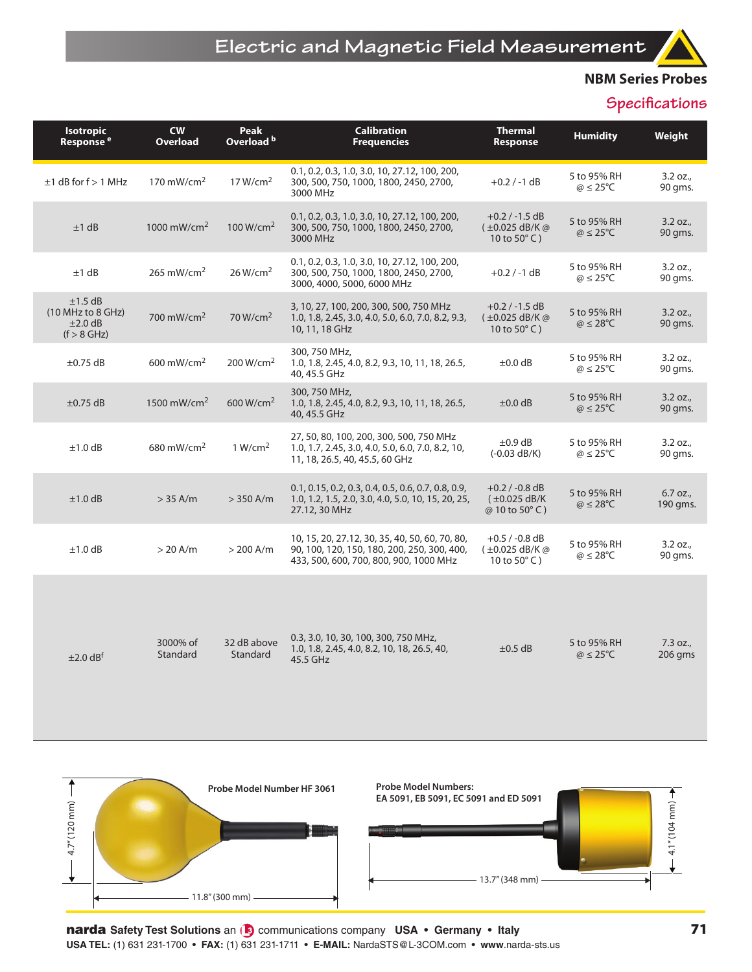# **Specifications**

| <b>Isotropic</b><br>Response <sup>e</sup>                       | cw<br><b>Overload</b>   | <b>Peak</b><br>Overload b | <b>Calibration</b><br><b>Frequencies</b>                                                                                                | <b>Thermal</b><br>Response                                                     | <b>Humidity</b>                          | Weight                 |
|-----------------------------------------------------------------|-------------------------|---------------------------|-----------------------------------------------------------------------------------------------------------------------------------------|--------------------------------------------------------------------------------|------------------------------------------|------------------------|
| $±1$ dB for $f > 1$ MHz                                         | 170 mW/cm <sup>2</sup>  | 17 W/cm <sup>2</sup>      | 0.1, 0.2, 0.3, 1.0, 3.0, 10, 27.12, 100, 200,<br>300, 500, 750, 1000, 1800, 2450, 2700,<br>3000 MHz                                     | $+0.2 / -1$ dB                                                                 | 5 to 95% RH<br>$\omega \leq 25^{\circ}C$ | 3.2 oz.<br>90 qms.     |
| ±1 dB                                                           | 1000 mW/cm <sup>2</sup> | 100 W/cm <sup>2</sup>     | 0.1, 0.2, 0.3, 1.0, 3.0, 10, 27.12, 100, 200,<br>300, 500, 750, 1000, 1800, 2450, 2700,<br>3000 MHz                                     | $+0.2 / -1.5 dB$<br>$(\pm 0.025 \text{ dB/K} \omega)$<br>10 to $50^{\circ}$ C) | 5 to 95% RH<br>$\omega \leq 25^{\circ}C$ | 3.2 oz.<br>90 gms.     |
| ±1 dB                                                           | 265 mW/cm <sup>2</sup>  | 26 W/cm <sup>2</sup>      | 0.1, 0.2, 0.3, 1.0, 3.0, 10, 27.12, 100, 200,<br>300, 500, 750, 1000, 1800, 2450, 2700,<br>3000, 4000, 5000, 6000 MHz                   | $+0.2 / -1$ dB                                                                 | 5 to 95% RH<br>$\omega \leq 25^{\circ}C$ | 3.2 oz.<br>90 gms.     |
| $±1.5$ dB<br>(10 MHz to 8 GHz)<br>$\pm 2.0$ dB<br>$(f > 8$ GHz) | $700 \text{ mW/cm}^2$   | 70 W/cm <sup>2</sup>      | 3, 10, 27, 100, 200, 300, 500, 750 MHz<br>1.0, 1.8, 2.45, 3.0, 4.0, 5.0, 6.0, 7.0, 8.2, 9.3,<br>10, 11, 18 GHz                          | $+0.2 / -1.5 dB$<br>$(\pm 0.025 \text{ dB/K} \omega)$<br>10 to $50^{\circ}$ C) | 5 to 95% RH<br>$\omega \leq 28^{\circ}C$ | 3.2 oz.,<br>90 gms.    |
| $\pm$ 0.75 dB                                                   | 600 mW/cm <sup>2</sup>  | 200 W/cm <sup>2</sup>     | 300, 750 MHz,<br>1.0, 1.8, 2.45, 4.0, 8.2, 9.3, 10, 11, 18, 26.5,<br>40, 45.5 GHz                                                       | $\pm 0.0$ dB                                                                   | 5 to 95% RH<br>$\omega \leq 25^{\circ}C$ | 3.2 oz.,<br>90 gms.    |
| $\pm$ 0.75 dB                                                   | 1500 mW/cm <sup>2</sup> | 600 W/cm <sup>2</sup>     | 300, 750 MHz,<br>1.0, 1.8, 2.45, 4.0, 8.2, 9.3, 10, 11, 18, 26.5,<br>40, 45.5 GHz                                                       | $\pm 0.0$ dB                                                                   | 5 to 95% RH<br>$\omega \leq 25^{\circ}C$ | 3.2 oz.<br>90 gms.     |
| $±1.0$ dB                                                       | 680 mW/cm <sup>2</sup>  | 1 W/cm <sup>2</sup>       | 27, 50, 80, 100, 200, 300, 500, 750 MHz<br>1.0, 1.7, 2.45, 3.0, 4.0, 5.0, 6.0, 7.0, 8.2, 10,<br>11, 18, 26.5, 40, 45.5, 60 GHz          | $\pm 0.9$ dB<br>$(-0.03$ dB/K)                                                 | 5 to 95% RH<br>$\omega \leq 25^{\circ}C$ | 3.2 oz.,<br>90 gms.    |
| $±1.0$ dB                                                       | $> 35$ A/m              | $>$ 350 A/m               | $0.1, 0.15, 0.2, 0.3, 0.4, 0.5, 0.6, 0.7, 0.8, 0.9,$<br>1.0, 1.2, 1.5, 2.0, 3.0, 4.0, 5.0, 10, 15, 20, 25,<br>27.12, 30 MHz             | $+0.2 / -0.8$ dB<br>$(\pm 0.025$ dB/K<br>@ 10 to 50° C)                        | 5 to 95% RH<br>$\omega \leq 28^{\circ}C$ | $6.7$ oz.,<br>190 gms. |
| $\pm 1.0$ dB                                                    | $> 20$ A/m              | $> 200$ A/m               | 10, 15, 20, 27.12, 30, 35, 40, 50, 60, 70, 80,<br>90, 100, 120, 150, 180, 200, 250, 300, 400,<br>433, 500, 600, 700, 800, 900, 1000 MHz | $+0.5 / -0.8$ dB<br>$(\pm 0.025 \text{ dB/K} \omega)$<br>10 to $50^{\circ}$ C) | 5 to 95% RH<br>$\omega \leq 28^{\circ}C$ | 3.2 oz.,<br>90 qms.    |
|                                                                 |                         |                           |                                                                                                                                         |                                                                                |                                          |                        |
| $\pm 2.0$ dB <sup>f</sup>                                       | 3000% of<br>Standard    | 32 dB above<br>Standard   | 0.3, 3.0, 10, 30, 100, 300, 750 MHz,<br>1.0, 1.8, 2.45, 4.0, 8.2, 10, 18, 26.5, 40,<br>45.5 GHz                                         | $\pm 0.5$ dB                                                                   | 5 to 95% RH<br>$\omega \leq 25^{\circ}C$ | 7.3 oz.,<br>206 gms    |



**narda** Safety Test Solutions an **B** communications company USA • Germany • Italy **71 USA TEL:** (1) 631 231-1700 **• FAX:** (1) 631 231-1711 **• E-MAIL:** NardaSTS@L-3COM.com **• www**.narda-sts.us